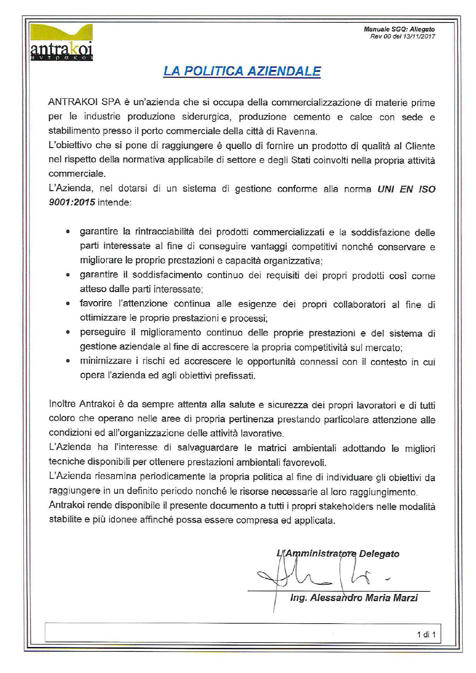

#### **LA POLITICA AZIENDALE**

ANTRAKOI SPA è un'azienda che si occupa della commercializzazione di materie prime per le industrie produzione siderurgica, produzione cemento e calce con sede e stabilimento presso il porto commerciale della città di Ravenna.

L'obiettivo che si pone di raggiungere è quello di fornire un prodotto di qualità al Cliente nel rispetto della normativa applicabile di settore e degli Stati coinvolti nella propria attività commerciale.

L'Azienda, nel dotarsi di un sistema di gestione conforme alla norma UNI EN ISO 9001:2015 intende:

- garantire la rintracciabilità dei prodotti commercializzati e la soddisfazione delle parti interessate al fine di conseguire vantaggi competitivi nonché conservare e migliorare le proprie prestazioni e capacità organizzativa:
- · garantire il soddisfacimento continuo dei requisiti dei propri prodotti così come atteso dalle parti interessate;
- · favorire l'attenzione continua alle esigenze dei propri collaboratori al fine di ottimizzare le proprie prestazioni e processi;
- · perseguire il miglioramento continuo delle proprie prestazioni e del sistema di gestione aziendale al fine di accrescere la propria competitività sul mercato;
- minimizzare i rischi ed accrescere le opportunità connessi con il contesto in cui opera l'azienda ed agli obiettivi prefissati.

Inoltre Antrakoi è da sempre attenta alla salute e sicurezza dei propri lavoratori e di tutti coloro che operano nelle aree di propria pertinenza prestando particolare attenzione alle condizioni ed all'organizzazione delle attività lavorative.

L'Azienda ha l'interesse di salvaguardare le matrici ambientali adottando le migliori tecniche disponibili per ottenere prestazioni ambientali favorevoli.

L'Azienda riesamina periodicamente la propria politica al fine di individuare gli obiettivi da raggiungere in un definito periodo nonché le risorse necessarie al loro raggiungimento.

Antrakoi rende disponibile il presente documento a tutti i propri stakeholders nelle modalità stabilite e più idonee affinché possa essere compresa ed applicata.

L'Amministratore Delegato

Ing. Alessandro Maria Marzi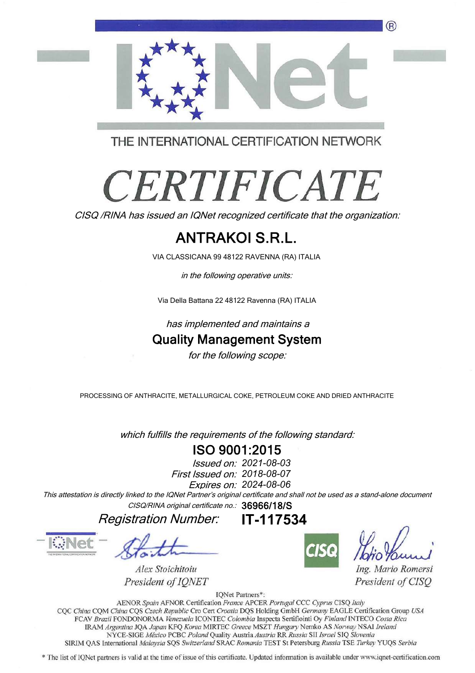

THE INTERNATIONAL CERTIFICATION NETWORK

# **CERTIFICATE**

CISQ /RINA has issued an IQNet recognized certificate that the organization:

### ANTRAKOI S.R.L.

VIA CLASSICANA 99 48122 RAVENNA (RA) ITALIA

in the following operative units:

Via Della Battana 22 48122 Ravenna (RA) ITALIA

has implemented and maintains a

#### Quality Management System

for the following scope:

PROCESSING OF ANTHRACITE, METALLURGICAL COKE, PETROLEUM COKE AND DRIED ANTHRACITE

which fulfills the requirements of the following standard:

#### ISO 9001:2015

First Issued on: 2018-08-07 Issued on: 2021-08-03 Expires on: 2024-08-06

This attestation is directly linked to the IQNet Partner's original certificate and shall not be used as a stand-alone document CISQ/RINA original certificate no.: 36966/18/S

IT-117534

Registration Number:



Alex Stoichitoiu President of IONET



Ing. Mario Romersi President of CISO

IQNet Partners\*:

AENOR Spain AFNOR Certification France APCER Portugal CCC Cyprus CISQ Italy CQC China CQM China CQS Czech Republic Cro Cert Croatia DQS Holding GmbH Germany EAGLE Certification Group USA FCAV Brazil FONDONORMA Venezuela ICONTEC Colombia Inspecta Sertifiointi Oy Finland INTECO Costa Rica IRAM Argentina JOA Japan KFO Korea MIRTEC Greece MSZT Hungary Nemko AS Norway NSAI Ireland NYCE-SIGE México PCBC Poland Quality Austria Austria RR Russia SII Israel SIQ Slovenia SIRIM QAS International Malaysia SQS Switzerland SRAC Romania TEST St Petersburg Russia TSE Turkey YUQS Serbia

\* The list of IQNet partners is valid at the time of issue of this certificate. Updated information is available under www.iqnet-certification.com